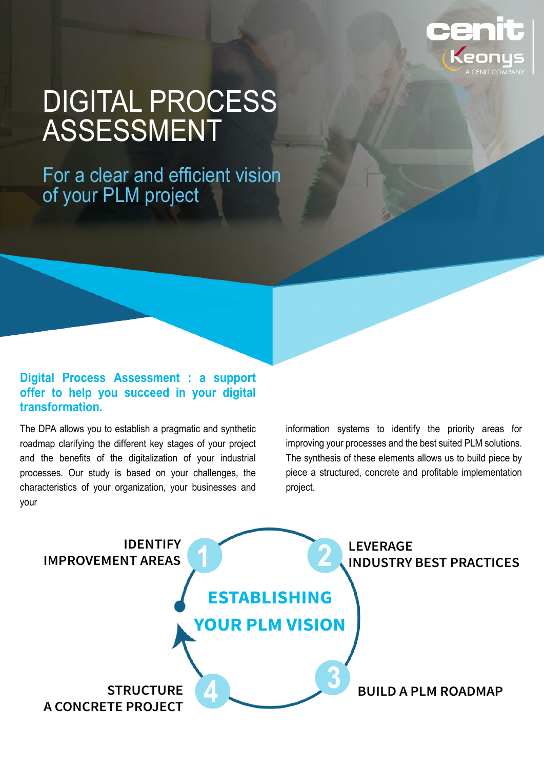

# DIGITAL PROCESS ASSESSMENT

For a clear and efficient vision of your PLM project

### **Digital Process Assessment : a support offer to help you succeed in your digital transformation.**

The DPA allows you to establish a pragmatic and synthetic roadmap clarifying the different key stages of your project and the benefits of the digitalization of your industrial processes. Our study is based on your challenges, the characteristics of your organization, your businesses and your

information systems to identify the priority areas for improving your processes and the best suited PLM solutions. The synthesis of these elements allows us to build piece by piece a structured, concrete and profitable implementation project.